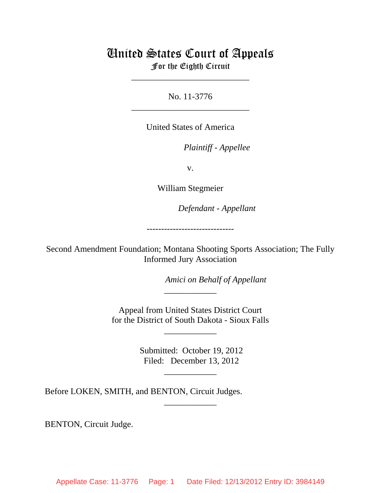# United States Court of Appeals For the Eighth Circuit

\_\_\_\_\_\_\_\_\_\_\_\_\_\_\_\_\_\_\_\_\_\_\_\_\_\_\_

No. 11-3776 \_\_\_\_\_\_\_\_\_\_\_\_\_\_\_\_\_\_\_\_\_\_\_\_\_\_\_

United States of America

*Plaintiff - Appellee* 

v.

William Stegmeier

lllllllllllllllllllll *Defendant - Appellant*

------------------------------

Second Amendment Foundation; Montana Shooting Sports Association; The Fully Informed Jury Association

Amici on Behalf of Appellant

 Appeal from United States District Court for the District of South Dakota - Sioux Falls

\_\_\_\_\_\_\_\_\_\_\_\_

\_\_\_\_\_\_\_\_\_\_\_\_

 Submitted: October 19, 2012 Filed: December 13, 2012

\_\_\_\_\_\_\_\_\_\_\_\_

\_\_\_\_\_\_\_\_\_\_\_\_

Before LOKEN, SMITH, and BENTON, Circuit Judges.

BENTON, Circuit Judge.

Appellate Case: 11-3776 Page: 1 Date Filed: 12/13/2012 Entry ID: 3984149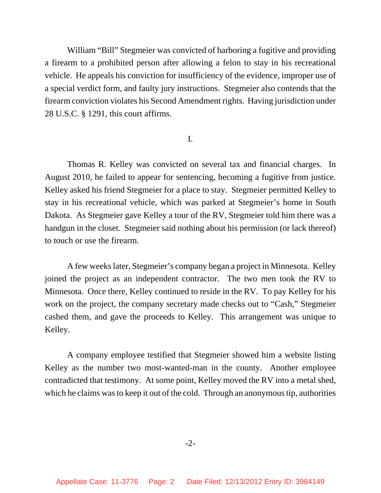William "Bill" Stegmeier was convicted of harboring a fugitive and providing a firearm to a prohibited person after allowing a felon to stay in his recreational vehicle. He appeals his conviction for insufficiency of the evidence, improper use of a special verdict form, and faulty jury instructions. Stegmeier also contends that the firearm conviction violates his Second Amendment rights. Having jurisdiction under 28 U.S.C. § 1291, this court affirms.

## I.

Thomas R. Kelley was convicted on several tax and financial charges. In August 2010, he failed to appear for sentencing, becoming a fugitive from justice. Kelley asked his friend Stegmeier for a place to stay. Stegmeier permitted Kelley to stay in his recreational vehicle, which was parked at Stegmeier's home in South Dakota. As Stegmeier gave Kelley a tour of the RV, Stegmeier told him there was a handgun in the closet. Stegmeier said nothing about his permission (or lack thereof) to touch or use the firearm.

A few weeks later, Stegmeier's company began a project in Minnesota. Kelley joined the project as an independent contractor. The two men took the RV to Minnesota. Once there, Kelley continued to reside in the RV. To pay Kelley for his work on the project, the company secretary made checks out to "Cash," Stegmeier cashed them, and gave the proceeds to Kelley. This arrangement was unique to Kelley.

A company employee testified that Stegmeier showed him a website listing Kelley as the number two most-wanted-man in the county. Another employee contradicted that testimony. At some point, Kelley moved the RV into a metal shed, which he claims was to keep it out of the cold. Through an anonymous tip, authorities

-2-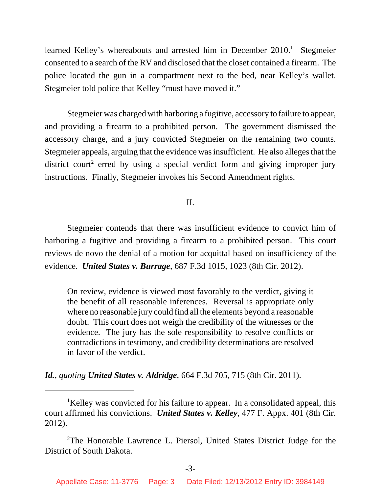learned Kelley's whereabouts and arrested him in December 2010.<sup>1</sup> Stegmeier consented to a search of the RV and disclosed that the closet contained a firearm. The police located the gun in a compartment next to the bed, near Kelley's wallet. Stegmeier told police that Kelley "must have moved it."

Stegmeier was charged with harboring a fugitive, accessory to failure to appear, and providing a firearm to a prohibited person. The government dismissed the accessory charge, and a jury convicted Stegmeier on the remaining two counts. Stegmeier appeals, arguing that the evidence was insufficient. He also alleges that the district court<sup>2</sup> erred by using a special verdict form and giving improper jury instructions. Finally, Stegmeier invokes his Second Amendment rights.

II.

Stegmeier contends that there was insufficient evidence to convict him of harboring a fugitive and providing a firearm to a prohibited person. This court reviews de novo the denial of a motion for acquittal based on insufficiency of the evidence. *United States v. Burrage*, 687 F.3d 1015, 1023 (8th Cir. 2012).

On review, evidence is viewed most favorably to the verdict, giving it the benefit of all reasonable inferences. Reversal is appropriate only where no reasonable jury could find all the elements beyond a reasonable doubt. This court does not weigh the credibility of the witnesses or the evidence. The jury has the sole responsibility to resolve conflicts or contradictions in testimony, and credibility determinations are resolved in favor of the verdict.

*Id.*, *quoting United States v. Aldridge*, 664 F.3d 705, 715 (8th Cir. 2011).

<sup>&</sup>lt;sup>1</sup>Kelley was convicted for his failure to appear. In a consolidated appeal, this court affirmed his convictions. *United States v. Kelley*, 477 F. Appx. 401 (8th Cir. 2012).

<sup>&</sup>lt;sup>2</sup>The Honorable Lawrence L. Piersol, United States District Judge for the District of South Dakota.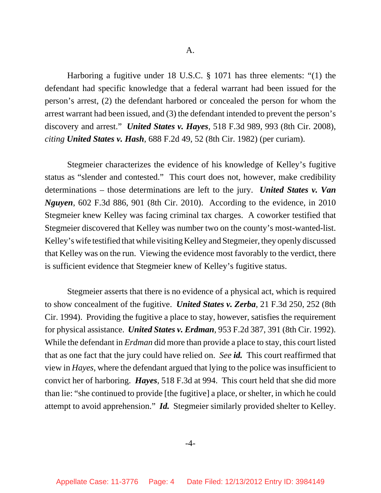Harboring a fugitive under 18 U.S.C. § 1071 has three elements: "(1) the defendant had specific knowledge that a federal warrant had been issued for the person's arrest, (2) the defendant harbored or concealed the person for whom the arrest warrant had been issued, and (3) the defendant intended to prevent the person's discovery and arrest." *United States v. Hayes*, 518 F.3d 989, 993 (8th Cir. 2008), *citing United States v. Hash*, 688 F.2d 49, 52 (8th Cir. 1982) (per curiam).

Stegmeier characterizes the evidence of his knowledge of Kelley's fugitive status as "slender and contested." This court does not, however, make credibility determinations – those determinations are left to the jury. *United States v. Van Nguyen*, 602 F.3d 886, 901 (8th Cir. 2010). According to the evidence, in 2010 Stegmeier knew Kelley was facing criminal tax charges. A coworker testified that Stegmeier discovered that Kelley was number two on the county's most-wanted-list. Kelley's wife testified that while visiting Kelley and Stegmeier, they openly discussed that Kelley was on the run. Viewing the evidence most favorably to the verdict, there is sufficient evidence that Stegmeier knew of Kelley's fugitive status.

Stegmeier asserts that there is no evidence of a physical act, which is required to show concealment of the fugitive. *United States v. Zerba*, 21 F.3d 250, 252 (8th Cir. 1994). Providing the fugitive a place to stay, however, satisfies the requirement for physical assistance. *United States v. Erdman*, 953 F.2d 387, 391 (8th Cir. 1992). While the defendant in *Erdman* did more than provide a place to stay, this court listed that as one fact that the jury could have relied on. *See id.* This court reaffirmed that view in *Hayes*, where the defendant argued that lying to the police was insufficient to convict her of harboring. *Hayes*, 518 F.3d at 994. This court held that she did more than lie: "she continued to provide [the fugitive] a place, or shelter, in which he could attempt to avoid apprehension." *Id.* Stegmeier similarly provided shelter to Kelley.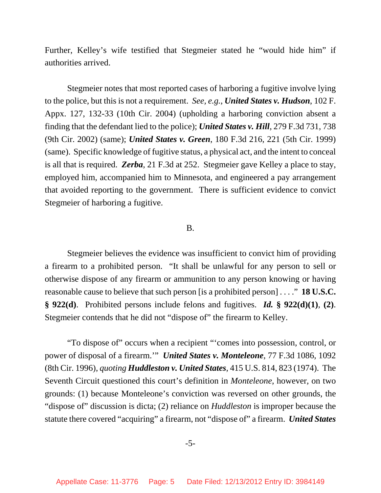Further, Kelley's wife testified that Stegmeier stated he "would hide him" if authorities arrived.

Stegmeier notes that most reported cases of harboring a fugitive involve lying to the police, but this is not a requirement. *See, e.g.*, *United States v. Hudson*, 102 F. Appx. 127, 132-33 (10th Cir. 2004) (upholding a harboring conviction absent a finding that the defendant lied to the police); *United States v. Hill*, 279 F.3d 731, 738 (9th Cir. 2002) (same); *United States v. Green*, 180 F.3d 216, 221 (5th Cir. 1999) (same). Specific knowledge of fugitive status, a physical act, and the intent to conceal is all that is required. *Zerba*, 21 F.3d at 252. Stegmeier gave Kelley a place to stay, employed him, accompanied him to Minnesota, and engineered a pay arrangement that avoided reporting to the government. There is sufficient evidence to convict Stegmeier of harboring a fugitive.

### B.

Stegmeier believes the evidence was insufficient to convict him of providing a firearm to a prohibited person. "It shall be unlawful for any person to sell or otherwise dispose of any firearm or ammunition to any person knowing or having reasonable cause to believe that such person [is a prohibited person] . . . ." **18 U.S.C. § 922(d)**. Prohibited persons include felons and fugitives. *Id.* **§ 922(d)(1)**, **(2)**. Stegmeier contends that he did not "dispose of" the firearm to Kelley.

"To dispose of" occurs when a recipient "'comes into possession, control, or power of disposal of a firearm.'" *United States v. Monteleone*, 77 F.3d 1086, 1092 (8th Cir. 1996), *quoting Huddleston v. United States*, 415 U.S. 814, 823 (1974). The Seventh Circuit questioned this court's definition in *Monteleone*, however, on two grounds: (1) because Monteleone's conviction was reversed on other grounds, the "dispose of" discussion is dicta; (2) reliance on *Huddleston* is improper because the statute there covered "acquiring" a firearm, not "dispose of" a firearm. *United States*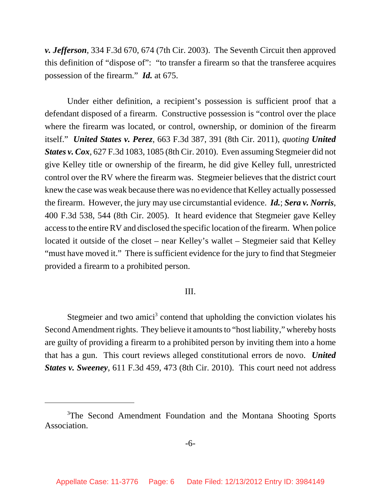*v. Jefferson*, 334 F.3d 670, 674 (7th Cir. 2003). The Seventh Circuit then approved this definition of "dispose of": "to transfer a firearm so that the transferee acquires possession of the firearm." *Id.* at 675.

Under either definition, a recipient's possession is sufficient proof that a defendant disposed of a firearm. Constructive possession is "control over the place where the firearm was located, or control, ownership, or dominion of the firearm itself." *United States v. Perez*, 663 F.3d 387, 391 (8th Cir. 2011), *quoting United States v. Cox*, 627 F.3d 1083, 1085 (8th Cir. 2010). Even assuming Stegmeier did not give Kelley title or ownership of the firearm, he did give Kelley full, unrestricted control over the RV where the firearm was. Stegmeier believes that the district court knew the case was weak because there was no evidence that Kelley actually possessed the firearm. However, the jury may use circumstantial evidence. *Id.*; *Sera v. Norris*, 400 F.3d 538, 544 (8th Cir. 2005). It heard evidence that Stegmeier gave Kelley access to the entire RV and disclosed the specific location of the firearm. When police located it outside of the closet – near Kelley's wallet – Stegmeier said that Kelley "must have moved it." There is sufficient evidence for the jury to find that Stegmeier provided a firearm to a prohibited person.

# III.

Stegmeier and two amici<sup>3</sup> contend that upholding the conviction violates his Second Amendment rights. They believe it amounts to "host liability," whereby hosts are guilty of providing a firearm to a prohibited person by inviting them into a home that has a gun. This court reviews alleged constitutional errors de novo. *United States v. Sweeney*, 611 F.3d 459, 473 (8th Cir. 2010). This court need not address

<sup>&</sup>lt;sup>3</sup>The Second Amendment Foundation and the Montana Shooting Sports **Association**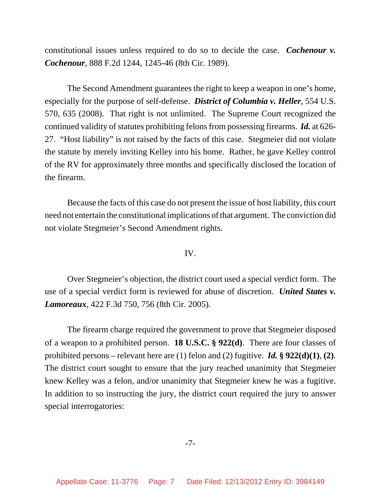constitutional issues unless required to do so to decide the case. *Cochenour v. Cochenour*, 888 F.2d 1244, 1245-46 (8th Cir. 1989).

The Second Amendment guarantees the right to keep a weapon in one's home, especially for the purpose of self-defense. *District of Columbia v. Heller*, 554 U.S. 570, 635 (2008). That right is not unlimited. The Supreme Court recognized the continued validity of statutes prohibiting felons from possessing firearms. *Id.* at 626- 27. "Host liability" is not raised by the facts of this case. Stegmeier did not violate the statute by merely inviting Kelley into his home. Rather, he gave Kelley control of the RV for approximately three months and specifically disclosed the location of the firearm.

Because the facts of this case do not present the issue of host liability, this court need not entertain the constitutional implications of that argument. The conviction did not violate Stegmeier's Second Amendment rights.

# IV.

Over Stegmeier's objection, the district court used a special verdict form. The use of a special verdict form is reviewed for abuse of discretion. *United States v. Lamoreaux*, 422 F.3d 750, 756 (8th Cir. 2005).

The firearm charge required the government to prove that Stegmeier disposed of a weapon to a prohibited person. **18 U.S.C. § 922(d)**. There are four classes of prohibited persons – relevant here are (1) felon and (2) fugitive. *Id.* **§ 922(d)(1)**, **(2)**. The district court sought to ensure that the jury reached unanimity that Stegmeier knew Kelley was a felon, and/or unanimity that Stegmeier knew he was a fugitive. In addition to so instructing the jury, the district court required the jury to answer special interrogatories:

### -7-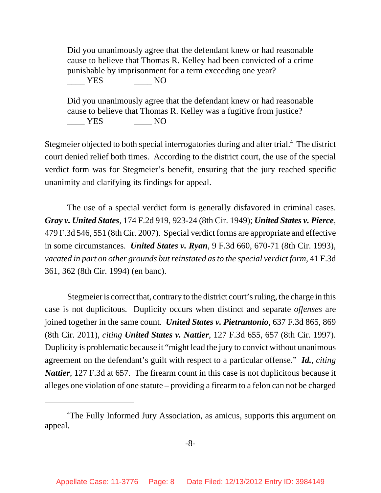Did you unanimously agree that the defendant knew or had reasonable cause to believe that Thomas R. Kelley had been convicted of a crime punishable by imprisonment for a term exceeding one year?  $YES$  NO

Did you unanimously agree that the defendant knew or had reasonable cause to believe that Thomas R. Kelley was a fugitive from justice? \_\_\_\_ YES \_\_\_\_ NO

Stegmeier objected to both special interrogatories during and after trial.<sup>4</sup> The district court denied relief both times. According to the district court, the use of the special verdict form was for Stegmeier's benefit, ensuring that the jury reached specific unanimity and clarifying its findings for appeal.

The use of a special verdict form is generally disfavored in criminal cases. *Gray v. United States*, 174 F.2d 919, 923-24 (8th Cir. 1949); *United States v. Pierce*, 479 F.3d 546, 551 (8th Cir. 2007). Special verdict forms are appropriate and effective in some circumstances. *United States v. Ryan*, 9 F.3d 660, 670-71 (8th Cir. 1993), *vacated in part on other grounds but reinstated as to the special verdict form*, 41 F.3d 361, 362 (8th Cir. 1994) (en banc).

Stegmeier is correct that, contrary to the district court's ruling, the charge in this case is not duplicitous. Duplicity occurs when distinct and separate *offenses* are joined together in the same count. *United States v. Pietrantonio*, 637 F.3d 865, 869 (8th Cir. 2011), *citing United States v. Nattier*, 127 F.3d 655, 657 (8th Cir. 1997). Duplicity is problematic because it "might lead the jury to convict without unanimous agreement on the defendant's guilt with respect to a particular offense." *Id.*, *citing Nattier*, 127 F.3d at 657. The firearm count in this case is not duplicitous because it alleges one violation of one statute – providing a firearm to a felon can not be charged

<sup>&</sup>lt;sup>4</sup>The Fully Informed Jury Association, as amicus, supports this argument on appeal.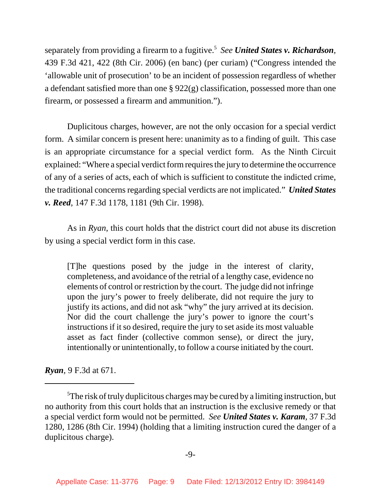separately from providing a firearm to a fugitive.5 *See United States v. Richardson*, 439 F.3d 421, 422 (8th Cir. 2006) (en banc) (per curiam) ("Congress intended the 'allowable unit of prosecution' to be an incident of possession regardless of whether a defendant satisfied more than one § 922(g) classification, possessed more than one firearm, or possessed a firearm and ammunition.").

Duplicitous charges, however, are not the only occasion for a special verdict form. A similar concern is present here: unanimity as to a finding of guilt. This case is an appropriate circumstance for a special verdict form. As the Ninth Circuit explained: "Where a special verdict form requires the jury to determine the occurrence of any of a series of acts, each of which is sufficient to constitute the indicted crime, the traditional concerns regarding special verdicts are not implicated." *United States v. Reed*, 147 F.3d 1178, 1181 (9th Cir. 1998).

As in *Ryan*, this court holds that the district court did not abuse its discretion by using a special verdict form in this case.

[T]he questions posed by the judge in the interest of clarity, completeness, and avoidance of the retrial of a lengthy case, evidence no elements of control or restriction by the court. The judge did not infringe upon the jury's power to freely deliberate, did not require the jury to justify its actions, and did not ask "why" the jury arrived at its decision. Nor did the court challenge the jury's power to ignore the court's instructions if it so desired, require the jury to set aside its most valuable asset as fact finder (collective common sense), or direct the jury, intentionally or unintentionally, to follow a course initiated by the court.

*Ryan*, 9 F.3d at 671.

<sup>&</sup>lt;sup>5</sup>The risk of truly duplicitous charges may be cured by a limiting instruction, but no authority from this court holds that an instruction is the exclusive remedy or that a special verdict form would not be permitted. *See United States v. Karam*, 37 F.3d 1280, 1286 (8th Cir. 1994) (holding that a limiting instruction cured the danger of a duplicitous charge).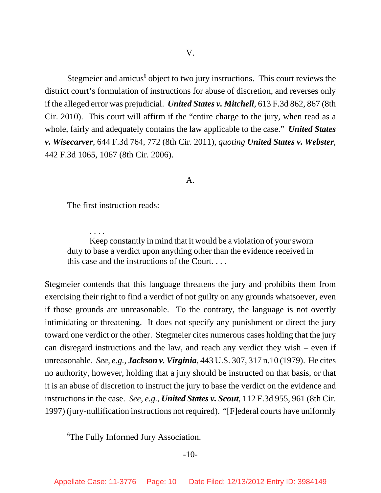Stegmeier and amicus<sup>6</sup> object to two jury instructions. This court reviews the district court's formulation of instructions for abuse of discretion, and reverses only if the alleged error was prejudicial. *United States v. Mitchell*, 613 F.3d 862, 867 (8th Cir. 2010). This court will affirm if the "entire charge to the jury, when read as a whole, fairly and adequately contains the law applicable to the case." *United States v. Wisecarver*, 644 F.3d 764, 772 (8th Cir. 2011), *quoting United States v. Webster*, 442 F.3d 1065, 1067 (8th Cir. 2006).

## A.

The first instruction reads:

. . . .

Keep constantly in mind that it would be a violation of your sworn duty to base a verdict upon anything other than the evidence received in this case and the instructions of the Court. . . .

Stegmeier contends that this language threatens the jury and prohibits them from exercising their right to find a verdict of not guilty on any grounds whatsoever, even if those grounds are unreasonable. To the contrary, the language is not overtly intimidating or threatening. It does not specify any punishment or direct the jury toward one verdict or the other. Stegmeier cites numerous cases holding that the jury can disregard instructions and the law, and reach any verdict they wish – even if unreasonable. *See, e.g.*, *Jackson v. Virginia*, 443 U.S. 307, 317 n.10 (1979). He cites no authority, however, holding that a jury should be instructed on that basis, or that it is an abuse of discretion to instruct the jury to base the verdict on the evidence and instructions in the case. *See, e.g.*, *United States v. Scout*, 112 F.3d 955, 961 (8th Cir. 1997) (jury-nullification instructions not required). "[F]ederal courts have uniformly

<sup>6</sup> The Fully Informed Jury Association.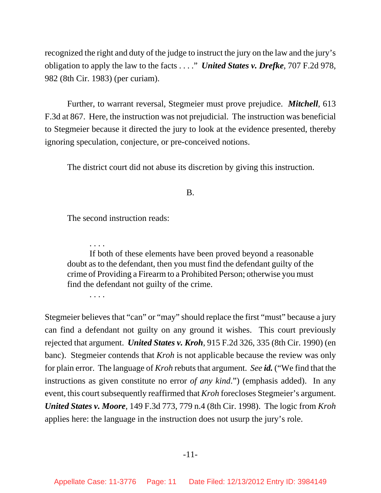recognized the right and duty of the judge to instruct the jury on the law and the jury's obligation to apply the law to the facts . . . ." *United States v. Drefke*, 707 F.2d 978, 982 (8th Cir. 1983) (per curiam).

Further, to warrant reversal, Stegmeier must prove prejudice. *Mitchell*, 613 F.3d at 867. Here, the instruction was not prejudicial. The instruction was beneficial to Stegmeier because it directed the jury to look at the evidence presented, thereby ignoring speculation, conjecture, or pre-conceived notions.

The district court did not abuse its discretion by giving this instruction.

B.

The second instruction reads:

If both of these elements have been proved beyond a reasonable doubt as to the defendant, then you must find the defendant guilty of the crime of Providing a Firearm to a Prohibited Person; otherwise you must find the defendant not guilty of the crime.

. . . .

. . . .

Stegmeier believes that "can" or "may" should replace the first "must" because a jury can find a defendant not guilty on any ground it wishes. This court previously rejected that argument. *United States v. Kroh*, 915 F.2d 326, 335 (8th Cir. 1990) (en banc). Stegmeier contends that *Kroh* is not applicable because the review was only for plain error. The language of *Kroh* rebuts that argument. *See id.* ("We find that the instructions as given constitute no error *of any kind*.") (emphasis added). In any event, this court subsequently reaffirmed that *Kroh* forecloses Stegmeier's argument. *United States v. Moore*, 149 F.3d 773, 779 n.4 (8th Cir. 1998). The logic from *Kroh* applies here: the language in the instruction does not usurp the jury's role.